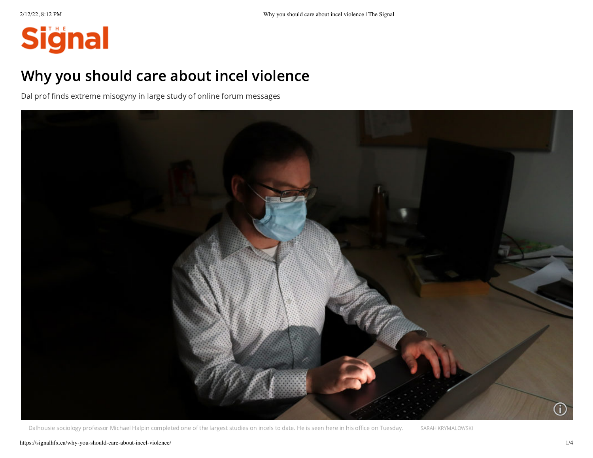# **Siğnal**

# Why you should care about incel violence

Dal prof finds extreme misogyny in large study of online forum messages



Dalhousie sociology professor Michael Halpin completed one of the largest studies on incels to date. He is seen here in his office on Tuesday. SARAH KRYMALOWSKI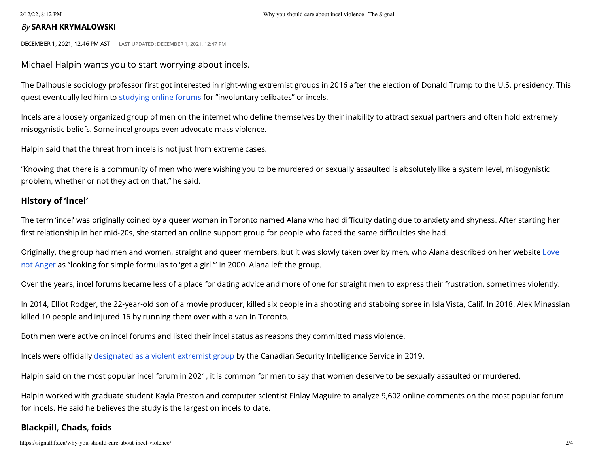#### 2/12/22, 8:12 PM Why you should care about incel violence | The Signal

#### By SARAH [KRYMALOWSKI](https://signalhfx.ca/author/skrymalowski/)

DECEMBER 1, 2021, 12:46 PM AST LAST UPDATED: DECEMBER 1, 2021, 12:47 PM

Michael Halpin wants you to start worrying about incels.

The Dalhousie sociology professor first got interested in right-wing extremist groups in 2016 after the election of Donald Trump to the U.S. presidency. This quest eventually led him to [studying](https://journals.sagepub.com/doi/full/10.1177/1097184X211017954) online forums for "involuntary celibates" or incels.

Incels are a loosely organized group of men on the internet who define themselves by their inability to attract sexual partners and often hold extremely misogynistic beliefs. Some incel groups even advocate mass violence.

Halpin said that the threat from incels is not just from extreme cases.

"Knowing that there is a community of men who were wishing you to be murdered or sexually assaulted is absolutely like a system level, misogynistic problem, whether or not they act on that," he said.

#### History of 'incel'

The term 'incel' was originally coined by a queer woman in Toronto named Alana who had difficulty dating due to anxiety and shyness. After starting her first relationship in her mid-20s, she started an online support group for people who faced the same difficulties she had.

Originally, the group had men and women, straight and queer [members,](https://www.lovenotanger.org/my-history-with-involuntary-celibacy/) but it was slowly taken over by men, who Alana described on her website Love not Anger as "looking for simple formulas to 'get a girl.'" In 2000, Alana left the group.

Over the years, incel forums became less of a place for dating advice and more of one for straight men to express their frustration, sometimes violently.

In 2014, Elliot Rodger, the 22-year-old son of a movie producer, killed six people in a shooting and stabbing spree in Isla Vista, Calif. In 2018, Alek Minassian killed 10 people and injured 16 by running them over with a van in Toronto.

Both men were active on incel forums and listed their incel status as reasons they committed mass violence.

Incels were officially [designated](https://www.canada.ca/content/dam/csis-scrs/documents/publications/PubRep-2019-E.pdf) as a violent extremist group by the Canadian Security Intelligence Service in 2019.

Halpin said on the most popular incel forum in 2021, it is common for men to say that women deserve to be sexually assaulted or murdered.

Halpin worked with graduate student Kayla Preston and computer scientist Finlay Maguire to analyze 9,602 online comments on the most popular forum for incels. He said he believes the study is the largest on incels to date.

## Blackpill, Chads, foids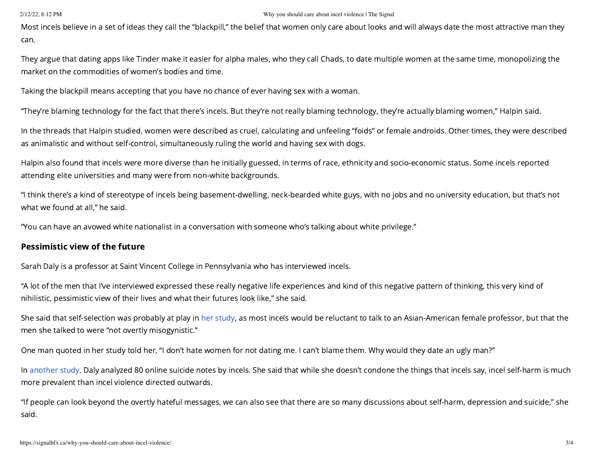#### 2/12/22, 8:12 PM Why you should care about incel violence | The Signal

Most incels believe in a set of ideas they call the "blackpill," the belief that women only care about looks and will always date the most attractive man they can.

They argue that dating apps like Tinder make it easier for alpha males, who they call Chads, to date multiple women at the same time, monopolizing the market on the commodities of women's bodies and time.

Taking the blackpill means accepting that you have no chance of ever having sex with a woman.

"They're blaming technology for the fact that there's incels. But they're not really blaming technology, they're actually blaming women," Halpin said.

In the threads that Halpin studied, women were described as cruel, calculating and unfeeling "foids" or female androids. Other times, they were described as animalistic and without self-control, simultaneously ruling the world and having sex with dogs.

Halpin also found that incels were more diverse than he initially guessed, in terms of race, ethnicity and socio-economic status. Some incels reported attending elite universities and many were from non-white backgrounds.

"I think there's a kind of stereotype of incels being basement-dwelling, neck-bearded white guys, with no jobs and no university education, but that's not what we found at all," he said.

"You can have an avowed white nationalist in a conversation with someone who's talking about white privilege."

## Pessimistic view of the future

Sarah Daly is a professor at Saint Vincent College in Pennsylvania who has interviewed incels.

"A lot of the men that I've interviewed expressed these really negative life experiences and kind of this negative pattern of thinking, this very kind of nihilistic, pessimistic view of their lives and what their futures look like," she said.

She said that self-selection was probably at play in her [study,](https://link.springer.com/article/10.1007/s11199-021-01250-5#Sec4) as most incels would be reluctant to talk to an Asian-American female professor, but that the men she talked to were "not overtly misogynistic."

One man quoted in her study told her, "I don't hate women for not dating me. I can't blame them. Why would they date an ugly man?"

In [another](https://www.qualitativecriminology.com/pub/z1961qto/release/1) study, Daly analyzed 80 online suicide notes by incels. She said that while she doesn't condone the things that incels say, incel self-harm is much more prevalent than incel violence directed outwards.

"If people can look beyond the overtly hateful messages, we can also see that there are so many discussions about self-harm, depression and suicide," she said.